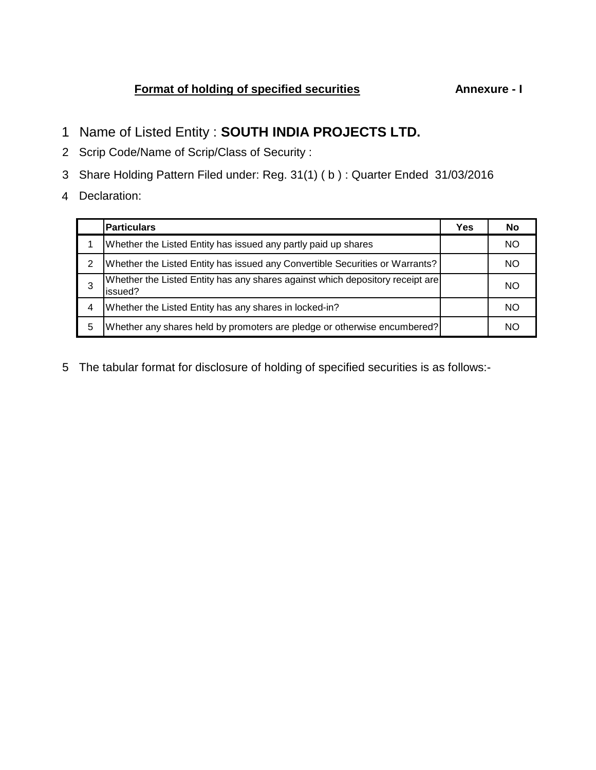**Format of holding of specified securities Annexure - I** 

- Name of Listed Entity : **SOUTH INDIA PROJECTS LTD.**
- Scrip Code/Name of Scrip/Class of Security :
- Share Holding Pattern Filed under: Reg. 31(1) ( b ) : Quarter Ended 31/03/2016
- Declaration:

|   | <b>Particulars</b>                                                                       | Yes | <b>No</b> |
|---|------------------------------------------------------------------------------------------|-----|-----------|
|   | Whether the Listed Entity has issued any partly paid up shares                           |     | NO        |
| 2 | Whether the Listed Entity has issued any Convertible Securities or Warrants?             |     | NΟ        |
|   | Whether the Listed Entity has any shares against which depository receipt are<br>issued? |     | NO.       |
| 4 | Whether the Listed Entity has any shares in locked-in?                                   |     | NΟ        |
| 5 | Whether any shares held by promoters are pledge or otherwise encumbered?                 |     | NO        |

The tabular format for disclosure of holding of specified securities is as follows:-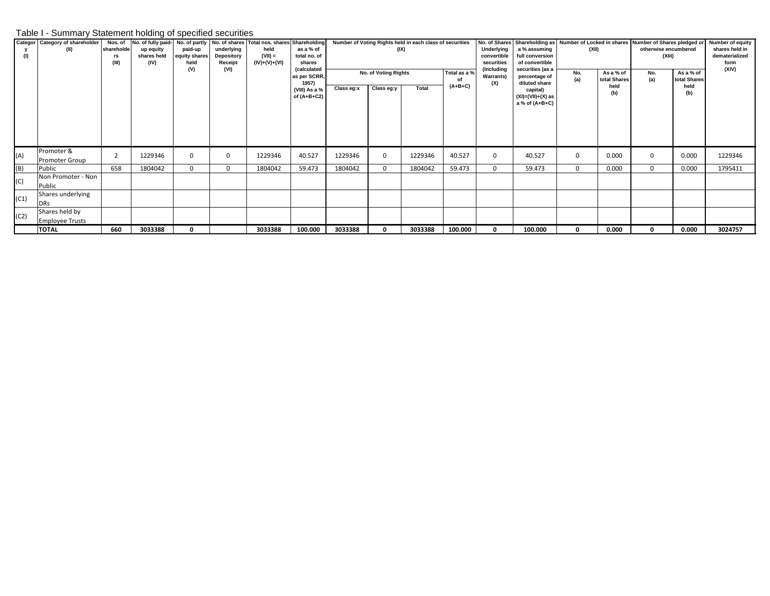## Table I - Summary Statement holding of specified securities

|      | Categor Category of shareholder | Nos. of          | No. of fully paid-       |                          |                          | No. of partly No. of shares Total nos. shares Shareholding |                                      |            |                      | Number of Voting Rights held in each class of securities |                    |                                       | No. of Shares   Shareholding as   Number of Locked in shares   Number of Shares pledged or |            |                           |                                |                           | <b>Number of equity</b><br>shares held in |
|------|---------------------------------|------------------|--------------------------|--------------------------|--------------------------|------------------------------------------------------------|--------------------------------------|------------|----------------------|----------------------------------------------------------|--------------------|---------------------------------------|--------------------------------------------------------------------------------------------|------------|---------------------------|--------------------------------|---------------------------|-------------------------------------------|
| (1)  | (II)                            | shareholde<br>rs | up equity<br>shares held | paid-up<br>equity shares | underlying<br>Depository | held<br>$(VII) =$                                          | as a % of<br>total no. of            |            | (IX)                 |                                                          |                    | Underlying<br>convertible             | a % assuming<br>full conversion                                                            | (XII)      |                           | otherwise encumbered<br>(XIII) |                           | dematerialized                            |
|      |                                 | (III)            | (IV)                     | held                     | Receipt                  | (IV)+(V)+(VI)                                              | shares                               |            |                      |                                                          |                    | securities                            | of convertible                                                                             |            |                           |                                |                           | form                                      |
|      |                                 |                  |                          | (V)                      | (VI)                     |                                                            | (calculated<br>as per SCRR.<br>1957) |            | No. of Voting Rights |                                                          | Total as a %<br>0f | (Including<br><b>Warrants)</b><br>(X) | securities (as a<br>percentage of<br>diluted share                                         | No.<br>(a) | As a % of<br>total Shares | No.<br>(a)                     | As a % of<br>total Shares | (XIV)                                     |
|      |                                 |                  |                          |                          |                          |                                                            | (VIII) As a %<br>of (A+B+C2)         | Class eg:x | Class eg:y           | Total                                                    | $(A+B+C)$          |                                       | capital)<br>(XI)=(VII)+(X) as<br>a % of (A+B+C)                                            |            | held<br>(b)               |                                | held<br>(b)               |                                           |
|      | Promoter &                      |                  |                          |                          |                          |                                                            |                                      |            |                      |                                                          |                    |                                       |                                                                                            |            |                           |                                |                           |                                           |
| (A)  | Promoter Group                  | 2                | 1229346                  | 0                        | $\Omega$                 | 1229346                                                    | 40.527                               | 1229346    | 0                    | 1229346                                                  | 40.527             | $\mathbf 0$                           | 40.527                                                                                     | $\Omega$   | 0.000                     | 0                              | 0.000                     | 1229346                                   |
| (B)  | Public                          | 658              | 1804042                  | 0                        | $\Omega$                 | 1804042                                                    | 59.473                               | 1804042    | $\Omega$             | 1804042                                                  | 59.473             | 0                                     | 59.473                                                                                     | $\Omega$   | 0.000                     | $\Omega$                       | 0.000                     | 1795411                                   |
| (C)  | Non Promoter - Non              |                  |                          |                          |                          |                                                            |                                      |            |                      |                                                          |                    |                                       |                                                                                            |            |                           |                                |                           |                                           |
|      | Public                          |                  |                          |                          |                          |                                                            |                                      |            |                      |                                                          |                    |                                       |                                                                                            |            |                           |                                |                           |                                           |
| (C1) | Shares underlying               |                  |                          |                          |                          |                                                            |                                      |            |                      |                                                          |                    |                                       |                                                                                            |            |                           |                                |                           |                                           |
|      | <b>DRs</b>                      |                  |                          |                          |                          |                                                            |                                      |            |                      |                                                          |                    |                                       |                                                                                            |            |                           |                                |                           |                                           |
| (C2) | Shares held by                  |                  |                          |                          |                          |                                                            |                                      |            |                      |                                                          |                    |                                       |                                                                                            |            |                           |                                |                           |                                           |
|      | <b>Employee Trusts</b>          |                  |                          |                          |                          |                                                            |                                      |            |                      |                                                          |                    |                                       |                                                                                            |            |                           |                                |                           |                                           |
|      | <b>TOTAL</b>                    | 660              | 3033388                  | n.                       |                          | 3033388                                                    | 100.000                              | 3033388    | $\Omega$             | 3033388                                                  | 100.000            | $\mathbf{0}$                          | 100.000                                                                                    | $\Omega$   | 0.000                     | $\mathbf{0}$                   | 0.000                     | 3024757                                   |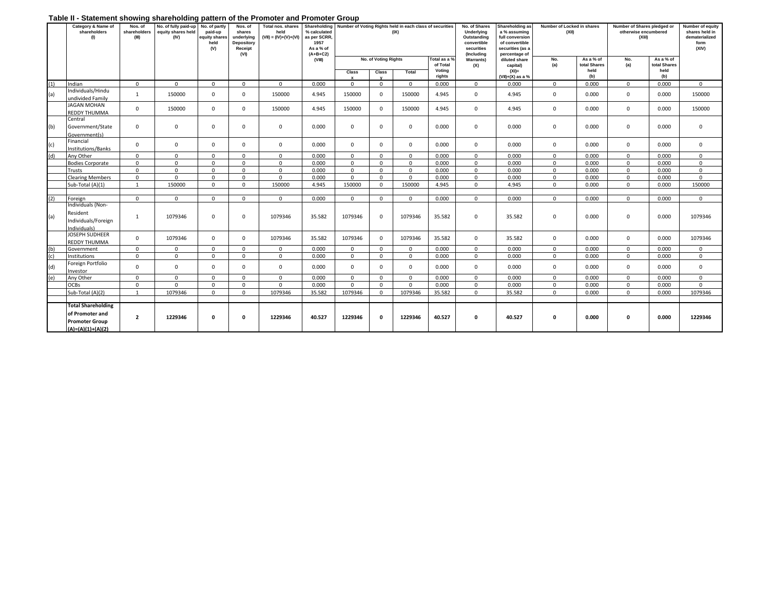## **Table II - Statement showing shareholding pattern of the Promoter and Promoter Group**

|     | Category & Name of<br>shareholders<br>(1)                                                        | Nos. of<br>shareholders<br>(III) | ----------------<br>No. of fully paid-up<br>equity shares held<br>(IV) | No. of partly<br>paid-up<br>equity shares<br>held<br>(V) | .<br>Nos. of<br>shares<br>underlying<br>Depository<br>Receipt<br>(VI) | Total nos. shares<br>held<br>$(VII) = (IV)+(V)+(VI)$ | Shareholding Number of Voting Rights held in each class of securities<br>% calculated<br>as per SCRR,<br>1957<br>As a % of<br>$(A+B+C2)$ |              |                               | (IX)         |                                              | No. of Shares<br>Underlying<br>Outstanding<br>convertible<br>securities<br>(Including | Shareholding as<br>Number of Locked in shares<br>a % assuming<br>(XII)<br>full conversion<br>of convertible<br>securities (as a<br>percentage of |              |                                          | Number of Shares pledged or<br>otherwise encumbered<br>(XI) |                                          | Number of equity<br>shares held in<br>dematerialized<br>form<br>(XIV) |
|-----|--------------------------------------------------------------------------------------------------|----------------------------------|------------------------------------------------------------------------|----------------------------------------------------------|-----------------------------------------------------------------------|------------------------------------------------------|------------------------------------------------------------------------------------------------------------------------------------------|--------------|-------------------------------|--------------|----------------------------------------------|---------------------------------------------------------------------------------------|--------------------------------------------------------------------------------------------------------------------------------------------------|--------------|------------------------------------------|-------------------------------------------------------------|------------------------------------------|-----------------------------------------------------------------------|
|     |                                                                                                  |                                  |                                                                        |                                                          |                                                                       |                                                      | (VIII)                                                                                                                                   | Class        | No. of Voting Rights<br>Class | Total        | Total as a 9<br>of Total<br>Voting<br>rights | <b>Warrants)</b><br>(X)                                                               | diluted share<br>capital)<br>$(XI) =$<br>$(VII)+(X)$ as a %                                                                                      | No.<br>(a)   | As a % of<br>total Shares<br>held<br>(b) | No.<br>(a)                                                  | As a % of<br>total Shares<br>held<br>(b) |                                                                       |
| (1) | Indian                                                                                           | $\Omega$                         | $\mathbf 0$                                                            | $\Omega$                                                 | $\mathbf{0}$                                                          | $\mathbf 0$                                          | 0.000                                                                                                                                    | $\mathbf{0}$ | $\mathbf 0$                   | $\mathbf{0}$ | 0.000                                        | $\Omega$                                                                              | 0.000                                                                                                                                            | $\Omega$     | 0.000                                    | $\mathbf{0}$                                                | 0.000                                    | $\mathbf{0}$                                                          |
| (a) | Individuals/Hindu<br>undivided Family                                                            | 1                                | 150000                                                                 | $\mathbf{0}$                                             | $\mathbf{0}$                                                          | 150000                                               | 4.945                                                                                                                                    | 150000       | $\mathbf{0}$                  | 150000       | 4.945                                        | $\mathbf 0$                                                                           | 4.945                                                                                                                                            | $\mathbf 0$  | 0.000                                    | $\mathbf{0}$                                                | 0.000                                    | 150000                                                                |
|     | <b>JAGAN MOHAN</b><br><b>REDDY THUMMA</b>                                                        | $\mathbf{0}$                     | 150000                                                                 | $\mathbf{0}$                                             | $\Omega$                                                              | 150000                                               | 4.945                                                                                                                                    | 150000       | $\Omega$                      | 150000       | 4.945                                        | $\mathbf 0$                                                                           | 4.945                                                                                                                                            | $\mathbf{0}$ | 0.000                                    | $\mathbf{0}$                                                | 0.000                                    | 150000                                                                |
| (b) | Central<br>Government/State<br>Government(s)                                                     | $\mathbf 0$                      | $\mathbf 0$                                                            | $\mathsf 0$                                              | $\mathbf{0}$                                                          | $\mathbf 0$                                          | 0.000                                                                                                                                    | $\mathbf{0}$ | $\mathbf 0$                   | $\mathsf 0$  | 0.000                                        | $\mathsf 0$                                                                           | 0.000                                                                                                                                            | $\mathsf 0$  | 0.000                                    | $\mathbf 0$                                                 | 0.000                                    | $\mathbf 0$                                                           |
| (c) | Financial<br>Institutions/Banks                                                                  | $\mathbf{0}$                     | $\mathbf 0$                                                            | $\mathbf{0}$                                             | $\mathbf{0}$                                                          | $\mathbf{0}$                                         | 0.000                                                                                                                                    | $\mathbf{0}$ | $\mathbf 0$                   | $\mathbf{0}$ | 0.000                                        | $\mathbf 0$                                                                           | 0.000                                                                                                                                            | $\mathbf{0}$ | 0.000                                    | $\mathbf{0}$                                                | 0.000                                    | $\mathbf 0$                                                           |
| (d) | Any Other                                                                                        | $\mathbf 0$                      | $\mathbf 0$                                                            | $\mathbf 0$                                              | $\Omega$                                                              | $\mathbf 0$                                          | 0.000                                                                                                                                    | $\mathbf{0}$ | $\Omega$                      | $\mathbf 0$  | 0.000                                        | $\mathbf 0$                                                                           | 0.000                                                                                                                                            | $\mathsf 0$  | 0.000                                    | $\mathbf{0}$                                                | 0.000                                    | $\mathsf 0$                                                           |
|     | <b>Bodies Corporate</b>                                                                          | $\mathbf 0$                      | $\mathbf 0$                                                            | $\Omega$                                                 | $\Omega$                                                              | $\Omega$                                             | 0.000                                                                                                                                    | $\Omega$     | $\Omega$                      | $\Omega$     | 0.000                                        | $\Omega$                                                                              | 0.000                                                                                                                                            | $\mathbf{0}$ | 0.000                                    | $\mathbf 0$                                                 | 0.000                                    | $\mathbf 0$                                                           |
|     | Trusts                                                                                           | $\mathbf 0$                      | $\mathbf 0$                                                            | $\mathbf 0$                                              | $\Omega$                                                              | $\mathbf 0$                                          | 0.000                                                                                                                                    | $\Omega$     | $\Omega$                      | $\mathbf 0$  | 0.000                                        | $\Omega$                                                                              | 0.000                                                                                                                                            | $\mathbf 0$  | 0.000                                    | $\mathbf 0$                                                 | 0.000                                    | $\mathsf 0$                                                           |
|     | <b>Clearing Members</b>                                                                          | $\mathbf{0}$                     | $\Omega$                                                               | $\Omega$                                                 | $\Omega$                                                              | $\Omega$                                             | 0.000                                                                                                                                    | $\Omega$     | $\Omega$                      | $\mathbf 0$  | 0.000                                        | $\Omega$                                                                              | 0.000                                                                                                                                            | $\mathbf{0}$ | 0.000                                    | $\Omega$                                                    | 0.000                                    | $\Omega$                                                              |
|     | Sub-Total (A)(1)                                                                                 | $\mathbf{1}$                     | 150000                                                                 | $\Omega$                                                 | $\Omega$                                                              | 150000                                               | 4.945                                                                                                                                    | 150000       | $\Omega$                      | 150000       | 4.945                                        | $\Omega$                                                                              | 4.945                                                                                                                                            | $\mathbf 0$  | 0.000                                    | $\Omega$                                                    | 0.000                                    | 150000                                                                |
| (2) | Foreign                                                                                          | $\mathbf 0$                      | $\mathbf 0$                                                            | $\Omega$                                                 | $\Omega$                                                              | $\Omega$                                             | 0.000                                                                                                                                    | $\Omega$     | $\Omega$                      | $\mathbf 0$  | 0.000                                        | $\Omega$                                                                              | 0.000                                                                                                                                            | $\Omega$     | 0.000                                    | $\Omega$                                                    | 0.000                                    | $\mathbf{0}$                                                          |
| (a) | Individuals (Non-<br>Resident<br>Individuals/Foreign<br>Individuals)                             | $\mathbf{1}$                     | 1079346                                                                | 0                                                        | $\mathbf{0}$                                                          | 1079346                                              | 35.582                                                                                                                                   | 1079346      | $\mathbf 0$                   | 1079346      | 35.582                                       | $\mathbf 0$                                                                           | 35.582                                                                                                                                           | $\mathbf 0$  | 0.000                                    | $\mathbf 0$                                                 | 0.000                                    | 1079346                                                               |
|     | JOSEPH SUDHEER<br><b>REDDY THUMMA</b>                                                            | $\mathbf{0}$                     | 1079346                                                                | $\mathbf 0$                                              | $\mathbf{0}$                                                          | 1079346                                              | 35.582                                                                                                                                   | 1079346      | $\mathbf{0}$                  | 1079346      | 35.582                                       | $\mathbf 0$                                                                           | 35.582                                                                                                                                           | $\mathbf{0}$ | 0.000                                    | $\mathbf{0}$                                                | 0.000                                    | 1079346                                                               |
| (b) | Government                                                                                       | $\mathbf 0$                      | $\mathbf{0}$                                                           | $\mathbf 0$                                              | $\mathbf{0}$                                                          | $\mathbf{0}$                                         | 0.000                                                                                                                                    | $\mathbf{0}$ | $\mathbf 0$                   | $\mathbf 0$  | 0.000                                        | $\mathbf 0$                                                                           | 0.000                                                                                                                                            | $\mathbf 0$  | 0.000                                    | $\mathbf{0}$                                                | 0.000                                    | $\mathbf 0$                                                           |
| (c) | Institutions                                                                                     | $\mathbf 0$                      | $\mathbf{0}$                                                           | $\mathbf 0$                                              | $\Omega$                                                              | $\mathbf 0$                                          | 0.000                                                                                                                                    | $\mathbf{0}$ | $\mathbf 0$                   | $\mathsf 0$  | 0.000                                        | $\mathbf 0$                                                                           | 0.000                                                                                                                                            | $\mathbf 0$  | 0.000                                    | $\mathbf{0}$                                                | 0.000                                    | $\mathsf 0$                                                           |
| (d) | Foreign Portfolio<br>nvestor                                                                     | $\mathbf 0$                      | $\mathbf 0$                                                            | $\mathbf 0$                                              | $\Omega$                                                              | $\mathbf 0$                                          | 0.000                                                                                                                                    | $\Omega$     | $\Omega$                      | $\mathsf 0$  | 0.000                                        | $\mathbf 0$                                                                           | 0.000                                                                                                                                            | $\mathbf 0$  | 0.000                                    | $\mathbf{0}$                                                | 0.000                                    | $\mathsf 0$                                                           |
| (e) | Any Other                                                                                        | $\mathbf 0$                      | $\mathbf 0$                                                            | $\mathbf 0$                                              | $\Omega$                                                              | $\mathbf 0$                                          | 0.000                                                                                                                                    | $\Omega$     | $\Omega$                      | $\mathbf 0$  | 0.000                                        | $\mathbf 0$                                                                           | 0.000                                                                                                                                            | $\mathbf{0}$ | 0.000                                    | $\mathbf{0}$                                                | 0.000                                    | $\mathbf 0$                                                           |
|     | <b>OCBs</b>                                                                                      | $\mathbf 0$                      | $\mathbf 0$                                                            | $\mathbf 0$                                              | $\mathbf{0}$                                                          | $\mathbf 0$                                          | 0.000                                                                                                                                    | $\mathbf{0}$ | $\mathbf 0$                   | $\mathbf 0$  | 0.000                                        | $\mathbf 0$                                                                           | 0.000                                                                                                                                            | $\mathsf 0$  | 0.000                                    | $\mathbf 0$                                                 | 0.000                                    | $\mathsf 0$                                                           |
|     | Sub-Total (A)(2)                                                                                 | $\mathbf{1}$                     | 1079346                                                                | $\Omega$                                                 | $\Omega$                                                              | 1079346                                              | 35.582                                                                                                                                   | 1079346      | $\Omega$                      | 1079346      | 35.582                                       | $\Omega$                                                                              | 35.582                                                                                                                                           | $\Omega$     | 0.000                                    | $\Omega$                                                    | 0.000                                    | 1079346                                                               |
|     |                                                                                                  |                                  |                                                                        |                                                          |                                                                       |                                                      |                                                                                                                                          |              |                               |              |                                              |                                                                                       |                                                                                                                                                  |              |                                          |                                                             |                                          |                                                                       |
|     | <b>Total Shareholding</b><br>of Promoter and<br><b>Promoter Group</b><br>$(A) = (A)(1) + (A)(2)$ | $\overline{2}$                   | 1229346                                                                | 0                                                        | $\mathbf 0$                                                           | 1229346                                              | 40.527                                                                                                                                   | 1229346      | $\mathbf{0}$                  | 1229346      | 40.527                                       | $\mathbf 0$                                                                           | 40.527                                                                                                                                           | 0            | 0.000                                    | $\mathbf 0$                                                 | 0.000                                    | 1229346                                                               |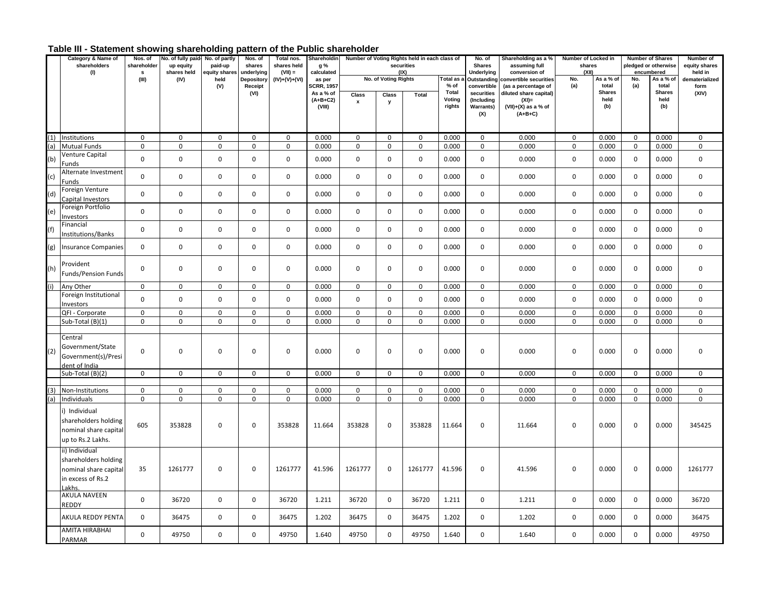## **Table III - Statement showing shareholding pattern of the Public shareholder**

|     | Category & Name of<br>shareholders                                                            | No. of fully paid- No. of partly<br>Nos. of<br>Nos. of<br>shareholder<br>up equity<br>paid-up<br>shares<br>$(VII) =$<br>shares held<br>(1)<br>equity shares<br>underlying<br>s |             |             | Total nos.<br>shares held | Shareholdin<br>g % |                                |                    | Number of Voting Rights held in each class of<br>securities |                | No. of<br><b>Shares</b> | Shareholding as a %<br>assuming full | Number of Locked in<br>shares<br>(XII)        |             | <b>Number of Shares</b><br>pledged or otherwise<br>encumbered |             | Number of<br>equity shares |                           |
|-----|-----------------------------------------------------------------------------------------------|--------------------------------------------------------------------------------------------------------------------------------------------------------------------------------|-------------|-------------|---------------------------|--------------------|--------------------------------|--------------------|-------------------------------------------------------------|----------------|-------------------------|--------------------------------------|-----------------------------------------------|-------------|---------------------------------------------------------------|-------------|----------------------------|---------------------------|
|     |                                                                                               | (III)                                                                                                                                                                          | (IV)        | held        | <b>Depository</b>         | (IV)+(V)+(VI)      | calculated<br>as per           |                    | No. of Voting Rights                                        | (IX)           | Total as a              | Underlying<br>Outstanding            | conversion of<br>convertible securities       | No.         | As a % of                                                     | No.         | As a % of                  | held in<br>dematerialized |
|     |                                                                                               |                                                                                                                                                                                |             | (V)         | Receipt<br>(VI)           |                    | <b>SCRR, 1957</b><br>As a % of | Class              | Class                                                       | Total          | % of<br>Total           | convertible<br>securities            | (as a percentage of<br>diluted share capital) | (a)         | total<br><b>Shares</b>                                        | (a)         | total<br><b>Shares</b>     | form<br>(XIV)             |
|     |                                                                                               |                                                                                                                                                                                |             |             |                           |                    | $(A+B+C2)$                     | $\pmb{\mathsf{x}}$ | y                                                           |                | Voting                  | (Including                           | $(XI)=$                                       |             | held                                                          |             | held                       |                           |
|     |                                                                                               |                                                                                                                                                                                |             |             |                           |                    | (VIII)                         |                    |                                                             |                | rights                  | <b>Warrants)</b><br>(X)              | $(VII)+(X)$ as a % of<br>$(A+B+C)$            |             | (b)                                                           |             | (b)                        |                           |
|     |                                                                                               |                                                                                                                                                                                |             |             |                           |                    |                                |                    |                                                             |                |                         |                                      |                                               |             |                                                               |             |                            |                           |
| (1) | Institutions                                                                                  | $\mathbf 0$                                                                                                                                                                    | 0           | 0           | $\mathsf 0$               | 0                  | 0.000                          | $\mathsf 0$        | 0                                                           | $\mathbf 0$    | 0.000                   | $\mathbf 0$                          | 0.000                                         | $\mathbf 0$ | 0.000                                                         | $\mathbf 0$ | 0.000                      | 0                         |
| (a) | <b>Mutual Funds</b>                                                                           | $\mathbf 0$                                                                                                                                                                    | $\pmb{0}$   | $\mathbf 0$ | $\mathsf 0$               | 0                  | 0.000                          | $\mathbf 0$        | $\mathbf 0$                                                 | $\mathsf{o}$   | 0.000                   | $\mathsf 0$                          | 0.000                                         | $\mathbf 0$ | 0.000                                                         | $\mathbf 0$ | 0.000                      | $\mathbf 0$               |
| (b) | Venture Capital<br>Funds                                                                      | $\mathbf 0$                                                                                                                                                                    | $\pmb{0}$   | $\mathbf 0$ | $\mathsf 0$               | $\mathbf 0$        | 0.000                          | $\mathbf 0$        | $\pmb{0}$                                                   | 0              | 0.000                   | $\mathsf 0$                          | 0.000                                         | $\mathsf 0$ | 0.000                                                         | $\mathbf 0$ | 0.000                      | $\mathbf 0$               |
| (c) | Alternate Investment<br>Funds                                                                 | $\mathbf 0$                                                                                                                                                                    | $\mathsf 0$ | $\mathsf 0$ | $\mathbf 0$               | $\mathsf{o}$       | 0.000                          | $\mathbf 0$        | $\mathbf 0$                                                 | $\mathsf 0$    | 0.000                   | $\mathbf 0$                          | 0.000                                         | $\mathsf 0$ | 0.000                                                         | $\mathbf 0$ | 0.000                      | $\mathbf 0$               |
| (d) | Foreign Venture<br>Capital Investors                                                          | 0                                                                                                                                                                              | $\mathbf 0$ | $\mathbf 0$ | $\mathbf 0$               | $\mathbf 0$        | 0.000                          | $\mathbf 0$        | $\mathbf 0$                                                 | $\mathbf 0$    | 0.000                   | $\mathbf 0$                          | 0.000                                         | $\mathbf 0$ | 0.000                                                         | $\mathbf 0$ | 0.000                      | $\mathsf{O}\xspace$       |
| (e) | Foreign Portfolio<br>Investors                                                                | $\mathsf 0$                                                                                                                                                                    | 0           | $\mathbf 0$ | $\mathsf 0$               | $\mathbf 0$        | 0.000                          | $\mathbf 0$        | $\mathsf 0$                                                 | 0              | 0.000                   | $\mathsf 0$                          | 0.000                                         | $\mathsf 0$ | 0.000                                                         | $\mathbf 0$ | 0.000                      | $\mathbf 0$               |
| (f) | Financial<br>Institutions/Banks                                                               | 0                                                                                                                                                                              | $\mathsf 0$ | $\mathsf 0$ | $\mathsf 0$               | $\mathbf 0$        | 0.000                          | $\mathbf 0$        | $\pmb{0}$                                                   | $\mathsf 0$    | 0.000                   | $\mathsf 0$                          | 0.000                                         | $\mathsf 0$ | 0.000                                                         | $\mathsf 0$ | 0.000                      | $\mathbf 0$               |
| (g) | <b>Insurance Companies</b>                                                                    | 0                                                                                                                                                                              | $\pmb{0}$   | $\mathsf 0$ | $\mathsf 0$               | 0                  | 0.000                          | $\mathsf 0$        | $\mathbf 0$                                                 | $\mathbf 0$    | 0.000                   | $\mathsf 0$                          | 0.000                                         | $\mathsf 0$ | 0.000                                                         | $\mathbf 0$ | 0.000                      | $\mathbf 0$               |
| (h) | Provident<br><b>Funds/Pension Funds</b>                                                       | 0                                                                                                                                                                              | $\mathsf 0$ | $\mathbf 0$ | $\mathsf 0$               | $\mathbf 0$        | 0.000                          | $\mathsf 0$        | $\mathsf 0$                                                 | $\mathbf 0$    | 0.000                   | $\mathbf 0$                          | 0.000                                         | $\mathsf 0$ | 0.000                                                         | $\mathbf 0$ | 0.000                      | $\mathbf 0$               |
| (i) | Any Other                                                                                     | $\mathsf{O}$                                                                                                                                                                   | 0           | $\mathbf 0$ | $\mathbf 0$               | $\mathbf 0$        | 0.000                          | $\mathsf 0$        | $\mathsf{O}$                                                | $\mathbf 0$    | 0.000                   | $\mathsf{O}$                         | 0.000                                         | $\mathbf 0$ | 0.000                                                         | $\mathbf 0$ | 0.000                      | 0                         |
|     | Foreign Institutional<br>Investors                                                            | $\mathbf 0$                                                                                                                                                                    | $\mathbf 0$ | $\mathbf 0$ | $\mathbf 0$               | $\mathbf 0$        | 0.000                          | $\mathbf 0$        | $\mathbf 0$                                                 | $\mathbf 0$    | 0.000                   | $\mathsf 0$                          | 0.000                                         | $\mathsf 0$ | 0.000                                                         | $\mathbf 0$ | 0.000                      | $\mathbf 0$               |
|     | QFI - Corporate                                                                               | 0                                                                                                                                                                              | $\mathbf 0$ | $\mathbf 0$ | $\mathbf 0$               | 0                  | 0.000                          | $\mathsf 0$        | 0                                                           | $\mathsf 0$    | 0.000                   | $\mathbf 0$                          | 0.000                                         | $\mathbf 0$ | 0.000                                                         | $\mathbf 0$ | 0.000                      | 0                         |
|     | Sub-Total (B)(1)                                                                              | 0                                                                                                                                                                              | 0           | $\mathsf 0$ | $\mathsf 0$               | $\mathbf 0$        | 0.000                          | $\mathsf 0$        | $\pmb{0}$                                                   | 0              | 0.000                   | $\mathbf 0$                          | 0.000                                         | 0           | 0.000                                                         | $\mathsf 0$ | 0.000                      | $\mathbf 0$               |
|     | Central<br>Government/State<br>Government(s)/Presi<br>dent of India                           | $\mathsf 0$                                                                                                                                                                    | 0           | $\mathsf 0$ | $\mathbf 0$               | 0                  | 0.000                          | $\mathbf 0$        | $\pmb{0}$                                                   | 0              | 0.000                   | $\mathsf{O}\xspace$                  | 0.000                                         | $\mathsf 0$ | 0.000                                                         | 0           | 0.000                      | $\mathbf 0$               |
|     | Sub-Total (B)(2)                                                                              | $\mathsf{O}$                                                                                                                                                                   | $\mathbf 0$ | $\mathbf 0$ | $\mathsf 0$               | $\mathsf{o}$       | 0.000                          | $\mathsf 0$        | $\mathsf 0$                                                 | $\mathsf 0$    | 0.000                   | $\mathbf 0$                          | 0.000                                         | $\mathsf 0$ | 0.000                                                         | $\mathbf 0$ | 0.000                      | 0                         |
| (3) | Non-Institutions                                                                              | $\mathbf 0$                                                                                                                                                                    | 0           | $\mathbf 0$ | $\mathbf 0$               | 0                  | 0.000                          | $\mathbf 0$        | $\pmb{0}$                                                   | $\mathbf 0$    | 0.000                   | $\mathsf 0$                          | 0.000                                         | $\mathbf 0$ | 0.000                                                         | $\mathbf 0$ | 0.000                      | $\mathsf 0$               |
| (a) | Individuals                                                                                   | $\mathbf 0$                                                                                                                                                                    | $\mathbf 0$ | $\mathbf 0$ | $\mathbf 0$               | $\mathbf 0$        | 0.000                          | $\mathbf 0$        | $\mathsf{O}\xspace$                                         | $\mathsf{o}\,$ | 0.000                   | $\mathbf 0$                          | 0.000                                         | $\mathbf 0$ | 0.000                                                         | $\mathbf 0$ | 0.000                      | 0                         |
|     | i) Individual<br>shareholders holding<br>nominal share capital<br>up to Rs.2 Lakhs.           | 605                                                                                                                                                                            | 353828      | $\mathsf 0$ | $\mathbf 0$               | 353828             | 11.664                         | 353828             | $\mathsf 0$                                                 | 353828         | 11.664                  | $\mathsf 0$                          | 11.664                                        | $\mathsf 0$ | 0.000                                                         | 0           | 0.000                      | 345425                    |
|     | ii) Individual<br>shareholders holding<br>nominal share capital<br>in excess of Rs.2<br>Lakhs | 35                                                                                                                                                                             | 1261777     | $\mathsf 0$ | $\mathsf 0$               | 1261777            | 41.596                         | 1261777            | $\mathsf 0$                                                 | 1261777        | 41.596                  | $\mathsf 0$                          | 41.596                                        | $\mathbf 0$ | 0.000                                                         | $\mathsf 0$ | 0.000                      | 1261777                   |
|     | <b>AKULA NAVEEN</b><br><b>REDDY</b>                                                           | 0                                                                                                                                                                              | 36720       | $\mathbf 0$ | $\mathsf 0$               | 36720              | 1.211                          | 36720              | $\mathbf 0$                                                 | 36720          | 1.211                   | $\mathsf 0$                          | 1.211                                         | $\mathsf 0$ | 0.000                                                         | $\mathbf 0$ | 0.000                      | 36720                     |
|     | AKULA REDDY PENTA                                                                             | $\mathbf 0$                                                                                                                                                                    | 36475       | 0           | $\mathsf 0$               | 36475              | 1.202                          | 36475              | $\mathsf 0$                                                 | 36475          | 1.202                   | $\mathsf 0$                          | 1.202                                         | $\mathsf 0$ | 0.000                                                         | 0           | 0.000                      | 36475                     |
|     | <b>AMITA HIRABHAI</b><br><b>PARMAR</b>                                                        | $\mathbf 0$                                                                                                                                                                    | 49750       | $\mathbf 0$ | $\mathbf 0$               | 49750              | 1.640                          | 49750              | $\mathbf 0$                                                 | 49750          | 1.640                   | $\mathbf 0$                          | 1.640                                         | $\mathbf 0$ | 0.000                                                         | 0           | 0.000                      | 49750                     |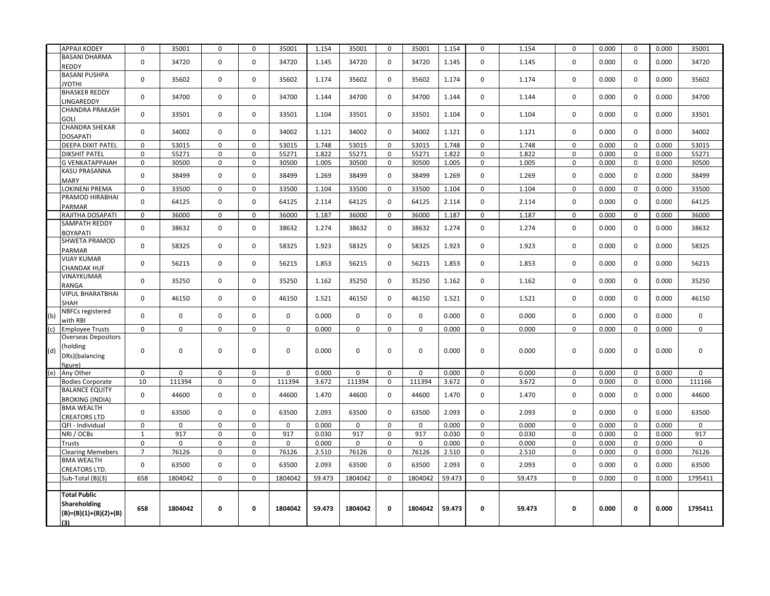|     | <b>APPAJI KODEY</b>          | $\mathsf 0$    | 35001       | 0           | 0           | 35001       | 1.154  | 35001       | 0                   | 35001       | 1.154  | 0           | 1.154  | $\mathbf 0$ | 0.000 | $\mathsf 0$ | 0.000 | 35001       |
|-----|------------------------------|----------------|-------------|-------------|-------------|-------------|--------|-------------|---------------------|-------------|--------|-------------|--------|-------------|-------|-------------|-------|-------------|
|     | <b>BASANI DHARMA</b>         |                |             |             |             |             |        |             |                     |             |        |             |        |             |       |             |       |             |
|     | REDDY                        | $\Omega$       | 34720       | $\Omega$    | $\Omega$    | 34720       | 1.145  | 34720       | $\mathbf 0$         | 34720       | 1.145  | $\Omega$    | 1.145  | $\Omega$    | 0.000 | $\Omega$    | 0.000 | 34720       |
|     | <b>BASANI PUSHPA</b>         |                |             |             |             |             |        |             |                     |             |        |             |        |             |       |             |       |             |
|     | <b>IHTOYL</b>                | $\mathbf 0$    | 35602       | $\mathbf 0$ | $\mathbf 0$ | 35602       | 1.174  | 35602       | $\mathbf 0$         | 35602       | 1.174  | $\mathbf 0$ | 1.174  | $\mathbf 0$ | 0.000 | $\mathbf 0$ | 0.000 | 35602       |
|     | <b>BHASKER REDDY</b>         |                |             |             |             |             |        |             |                     |             |        |             |        |             |       |             |       |             |
|     | LINGAREDDY                   | $\mathsf 0$    | 34700       | $\mathbf 0$ | 0           | 34700       | 1.144  | 34700       | $\mathsf{O}$        | 34700       | 1.144  | 0           | 1.144  | $\mathbf 0$ | 0.000 | $\mathbf 0$ | 0.000 | 34700       |
|     | CHANDRA PRAKASH              |                |             |             |             |             |        |             |                     |             |        |             |        |             |       |             |       |             |
|     | GOLI                         | $\mathbf 0$    | 33501       | 0           | $\mathbf 0$ | 33501       | 1.104  | 33501       | $\mathsf{O}$        | 33501       | 1.104  | 0           | 1.104  | $\mathbf 0$ | 0.000 | $\mathbf 0$ | 0.000 | 33501       |
|     | CHANDRA SHEKAR               |                |             |             |             |             |        |             |                     |             |        |             |        |             |       |             |       |             |
|     | <b>DOSAPATI</b>              | $\mathbf 0$    | 34002       | $\mathbf 0$ | $\mathbf 0$ | 34002       | 1.121  | 34002       | $\mathbf 0$         | 34002       | 1.121  | $\mathbf 0$ | 1.121  | 0           | 0.000 | $\mathbf 0$ | 0.000 | 34002       |
|     | DEEPA DIXIT PATEL            | $\mathsf 0$    | 53015       | $\mathbf 0$ | $\mathbf 0$ | 53015       | 1.748  | 53015       | $\mathbf 0$         | 53015       | 1.748  | $\mathbf 0$ | 1.748  | $\mathbf 0$ | 0.000 | $\mathbf 0$ | 0.000 | 53015       |
|     | DIKSHIT PATEL                | $\mathsf 0$    | 55271       | $\mathbf 0$ | 0           | 55271       | 1.822  | 55271       | $\mathsf{O}\xspace$ | 55271       | 1.822  | $\mathbf 0$ | 1.822  | $\mathbf 0$ | 0.000 | $\mathsf 0$ | 0.000 | 55271       |
|     | G VENKATAPPAIAH              | $\mathbf 0$    | 30500       | 0           | 0           | 30500       | 1.005  | 30500       | $\mathbf 0$         | 30500       | 1.005  | $\mathbf 0$ | 1.005  | 0           | 0.000 | 0           | 0.000 | 30500       |
|     | KASU PRASANNA                |                |             |             |             |             |        |             |                     |             |        |             |        |             |       |             |       |             |
|     | <b>MARY</b>                  | $\mathsf 0$    | 38499       | $\mathbf 0$ | $\mathbf 0$ | 38499       | 1.269  | 38499       | 0                   | 38499       | 1.269  | 0           | 1.269  | $\mathbf 0$ | 0.000 | $\mathbf 0$ | 0.000 | 38499       |
|     | LOKINENI PREMA               | $\mathsf 0$    | 33500       | $\mathbf 0$ | $\mathbf 0$ | 33500       | 1.104  | 33500       | $\mathsf{O}$        | 33500       | 1.104  | 0           | 1.104  | $\mathbf 0$ | 0.000 | $\mathbf 0$ | 0.000 | 33500       |
|     | PRAMOD HIRABHAI              |                |             |             |             |             |        |             |                     |             |        |             |        |             |       |             |       |             |
|     | PARMAR                       | $\mathbf 0$    | 64125       | $\Omega$    | $\mathbf 0$ | 64125       | 2.114  | 64125       | $\mathbf{0}$        | 64125       | 2.114  | $\mathbf 0$ | 2.114  | $\mathbf 0$ | 0.000 | $\mathbf 0$ | 0.000 | 64125       |
|     | RAJITHA DOSAPATI             | $\mathbf 0$    | 36000       | $\mathbf 0$ | $\mathbf 0$ | 36000       | 1.187  | 36000       | $\mathbf 0$         | 36000       | 1.187  | 0           | 1.187  | 0           | 0.000 | $\mathbf 0$ | 0.000 | 36000       |
|     | SAMPATH REDDY                |                |             |             |             |             |        |             |                     |             |        |             |        |             |       |             |       |             |
|     | <b>BOYAPATI</b>              | $\mathbf 0$    | 38632       | $\Omega$    | $\mathbf 0$ | 38632       | 1.274  | 38632       | $\mathbf 0$         | 38632       | 1.274  | $\mathbf 0$ | 1.274  | $\mathbf 0$ | 0.000 | $\mathbf 0$ | 0.000 | 38632       |
|     | SHWETA PRAMOD                |                |             |             |             |             |        |             |                     |             |        |             |        |             |       |             |       |             |
|     |                              | $\mathbf 0$    | 58325       | $\mathbf 0$ | 0           | 58325       | 1.923  | 58325       | $\mathbf 0$         | 58325       | 1.923  | $\mathbf 0$ | 1.923  | $\mathbf 0$ | 0.000 | $\mathbf 0$ | 0.000 | 58325       |
|     | PARMAR<br><b>VIJAY KUMAR</b> |                |             |             |             |             |        |             |                     |             |        |             |        |             |       |             |       |             |
|     |                              | $\mathsf 0$    | 56215       | $\Omega$    | $\Omega$    | 56215       | 1.853  | 56215       | $\mathbf 0$         | 56215       | 1.853  | $\mathbf 0$ | 1.853  | 0           | 0.000 | $\mathbf 0$ | 0.000 | 56215       |
|     | <b>CHANDAK HUF</b>           |                |             |             |             |             |        |             |                     |             |        |             |        |             |       |             |       |             |
|     | VINAYKUMAR                   | $\mathsf 0$    | 35250       | $\mathbf 0$ | $\mathbf 0$ | 35250       | 1.162  | 35250       | $\mathbf 0$         | 35250       | 1.162  | 0           | 1.162  | 0           | 0.000 | $\mathbf 0$ | 0.000 | 35250       |
|     | RANGA                        |                |             |             |             |             |        |             |                     |             |        |             |        |             |       |             |       |             |
|     | <b>VIPUL BHARATBHAI</b>      | $\mathsf 0$    | 46150       | $\mathbf 0$ | $\mathbf 0$ | 46150       | 1.521  | 46150       | $\mathbf 0$         | 46150       | 1.521  | 0           | 1.521  | $\mathbf 0$ | 0.000 | 0           | 0.000 | 46150       |
|     | SHAH                         |                |             |             |             |             |        |             |                     |             |        |             |        |             |       |             |       |             |
| (b) | NBFCs registered             | $\mathbf 0$    | $\mathbf 0$ | $\mathbf 0$ | $\Omega$    | $\Omega$    | 0.000  | $\mathbf 0$ | $\Omega$            | $\mathbf 0$ | 0.000  | $\mathsf 0$ | 0.000  | $\mathbf 0$ | 0.000 | $\mathbf 0$ | 0.000 | $\mathsf 0$ |
|     | with RBI                     |                |             |             |             |             |        |             |                     |             |        |             |        |             |       |             |       |             |
| (c) | <b>Employee Trusts</b>       | $\mathsf 0$    | $\mathbf 0$ | $\mathsf 0$ | 0           | 0           | 0.000  | $\mathbf 0$ | $\mathbf 0$         | $\mathsf 0$ | 0.000  | $\mathbf 0$ | 0.000  | $\mathbf 0$ | 0.000 | 0           | 0.000 | $\mathbf 0$ |
|     | Overseas Depositors          |                |             |             |             |             |        |             |                     |             |        |             |        |             |       |             |       |             |
| (d) | (holding                     | $\mathsf 0$    | 0           | 0           | 0           | 0           | 0.000  | $\mathbf 0$ | 0                   | $\mathsf 0$ | 0.000  | $\mathbf 0$ | 0.000  | 0           | 0.000 | 0           | 0.000 | 0           |
|     | DRs)(balancing               |                |             |             |             |             |        |             |                     |             |        |             |        |             |       |             |       |             |
|     | figure)                      |                |             |             |             |             |        |             |                     |             |        |             |        |             |       |             |       |             |
| (e) | Any Other                    | $\mathbf 0$    | 0           | 0           | $\mathbf 0$ | 0           | 0.000  | $\mathbf 0$ | $\mathbf 0$         | 0           | 0.000  | $\mathbf 0$ | 0.000  | 0           | 0.000 | $\mathsf 0$ | 0.000 | $\mathbf 0$ |
|     | <b>Bodies Corporate</b>      | 10             | 111394      | 0           | 0           | 111394      | 3.672  | 111394      | $\mathsf{O}$        | 111394      | 3.672  | 0           | 3.672  | $\mathbf 0$ | 0.000 | 0           | 0.000 | 111166      |
|     | <b>BALANCE EQUITY</b>        | $\mathbf 0$    | 44600       | $\mathbf 0$ | $\mathbf 0$ | 44600       | 1.470  | 44600       | $\Omega$            | 44600       | 1.470  | $\mathbf 0$ | 1.470  | $\mathbf 0$ | 0.000 | $\mathbf 0$ | 0.000 | 44600       |
|     | <b>BROKING (INDIA)</b>       |                |             |             |             |             |        |             |                     |             |        |             |        |             |       |             |       |             |
|     | <b>BMA WEALTH</b>            | $\mathbf 0$    | 63500       | $\mathbf 0$ | 0           | 63500       | 2.093  | 63500       | 0                   | 63500       | 2.093  | 0           | 2.093  | 0           | 0.000 | 0           | 0.000 | 63500       |
|     | <b>CREATORS LTD</b>          |                |             |             |             |             |        |             |                     |             |        |             |        |             |       |             |       |             |
|     | QFI - Individual             | $\mathbf 0$    | $\mathbf 0$ | $\Omega$    | 0           | $\mathbf 0$ | 0.000  | $\mathbf 0$ | $\mathbf 0$         | $\Omega$    | 0.000  | $\pmb{0}$   | 0.000  | $\mathbf 0$ | 0.000 | $\mathbf 0$ | 0.000 | $\mathbf 0$ |
|     | NRI / OCBs                   | $\mathbf{1}$   | 917         | 0           | 0           | 917         | 0.030  | 917         | 0                   | 917         | 0.030  | $\mathbf 0$ | 0.030  | 0           | 0.000 | $\mathsf 0$ | 0.000 | 917         |
|     | Trusts                       | $\mathbf 0$    | $\mathbf 0$ | 0           | 0           | 0           | 0.000  | $\mathbf 0$ | $\mathbf 0$         | $\Omega$    | 0.000  | 0           | 0.000  | $\mathbf 0$ | 0.000 | $\mathbf 0$ | 0.000 | $\mathbf 0$ |
|     | <b>Clearing Memebers</b>     | $\overline{7}$ | 76126       | 0           | 0           | 76126       | 2.510  | 76126       | $\mathsf 0$         | 76126       | 2.510  | $\mathsf 0$ | 2.510  | $\mathbf 0$ | 0.000 | $\pmb{0}$   | 0.000 | 76126       |
|     | <b>BMA WEALTH</b>            | $\mathsf 0$    | 63500       | 0           | 0           | 63500       | 2.093  | 63500       | $\mathbf 0$         | 63500       | 2.093  | $\mathbf 0$ | 2.093  | $\mathbf 0$ | 0.000 | $\mathbf 0$ | 0.000 | 63500       |
|     | CREATORS LTD.                |                |             |             |             |             |        |             |                     |             |        |             |        |             |       |             |       |             |
|     | Sub-Total (B)(3)             | 658            | 1804042     | $\mathbf 0$ | 0           | 1804042     | 59.473 | 1804042     | $\mathbf 0$         | 1804042     | 59.473 | $\mathbf 0$ | 59.473 | $\mathbf 0$ | 0.000 | $\mathbf 0$ | 0.000 | 1795411     |
|     |                              |                |             |             |             |             |        |             |                     |             |        |             |        |             |       |             |       |             |
|     | Total Public                 |                |             |             |             |             |        |             |                     |             |        |             |        |             |       |             |       |             |
|     | Shareholding                 | 658            | 1804042     | 0           | 0           | 1804042     | 59.473 | 1804042     | 0                   | 1804042     | 59.473 | $\mathbf 0$ | 59.473 | 0           | 0.000 | $\mathbf 0$ | 0.000 | 1795411     |
|     | (B)=(B)(1)+(B)(2)+(B)        |                |             |             |             |             |        |             |                     |             |        |             |        |             |       |             |       |             |
|     | (3)                          |                |             |             |             |             |        |             |                     |             |        |             |        |             |       |             |       |             |